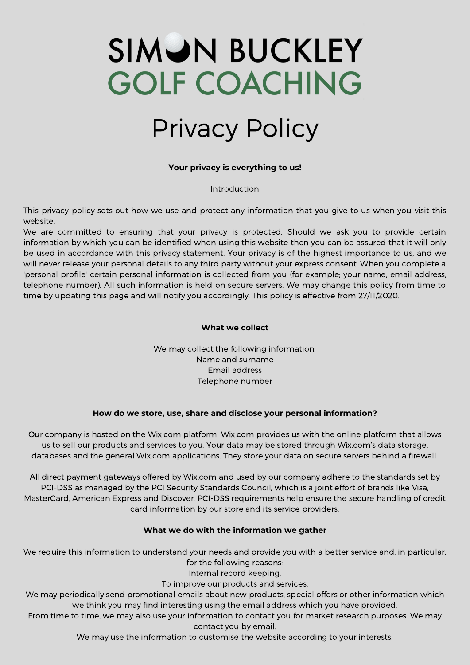# **SIMON BUCKLEY GOLF COACHING**

### Privacy Policy

#### **Your privacy is everything to us!**

#### Introduction

This privacy policy sets out how we use and protect any information that you give to us when you visit this website.

We are committed to ensuring that your privacy is protected. Should we ask you to provide certain information by which you can be identified when using this website then you can be assured that it will only be used in accordance with this privacy statement. Your privacy is of the highest importance to us, and we will never release your personal details to any third party without your express consent. When you complete a 'personal profile' certain personal information is collected from you (for example; your name, email address, telephone number). All such information is held on secure servers. We may change this policy from time to time by updating this page and will notify you accordingly. This policy is effective from 27/11/2020.

#### **What we collect**

We may collect the following information: Name and surname Email address Telephone number

#### **How do we store, use, share and disclose your personal information?**

Our company is hosted on the Wix.com platform. Wix.com provides us with the online platform that allows us to sell our products and services to you. Your data may be stored through Wix.com's data storage, databases and the general Wix.com applications. They store your data on secure servers behind a firewall.

All direct payment gateways offered by Wix.com and used by our company adhere to the standards set by PCI-DSS as managed by the PCI Security Standards Council, which is a joint effort of brands like Visa, MasterCard, American Express and Discover. PCI-DSS requirements help ensure the secure handling of credit card information by our store and its service providers.

#### **What we do with the information we gather**

We require this information to understand your needs and provide you with a better service and, in particular, for the following reasons:

Internal record keeping.

To improve our products and services.

We may periodically send promotional emails about new products, special offers or other information which we think you may find interesting using the email address which you have provided.

From time to time, we may also use your information to contact you for market research purposes. We may contact you by email.

We may use the information to customise the website according to your interests.